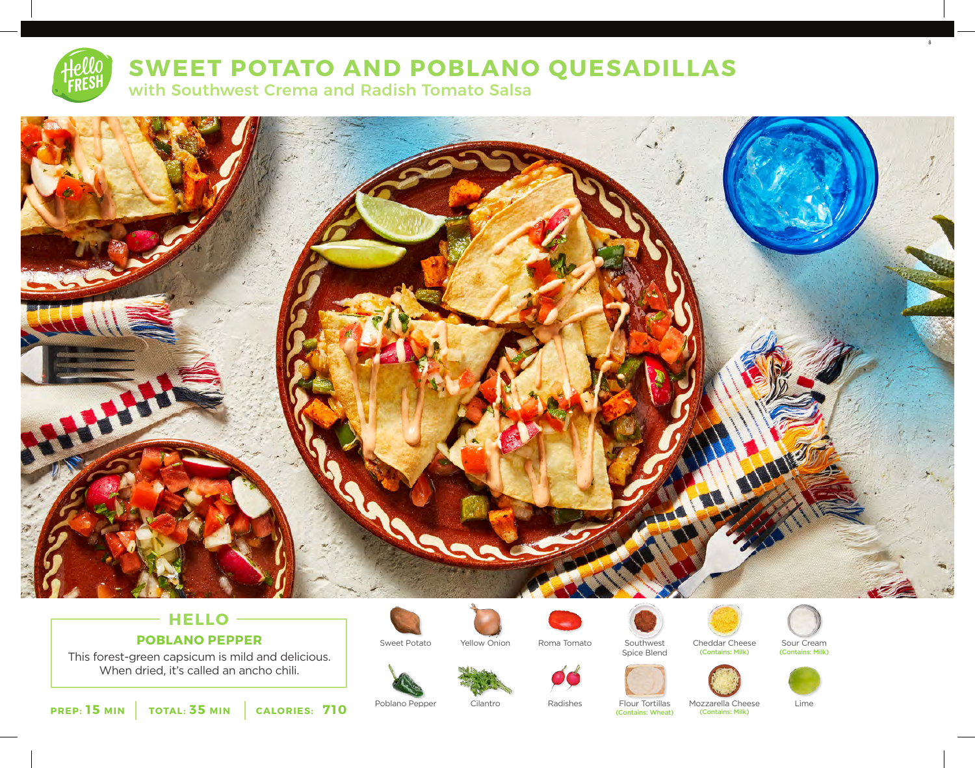

# **SWEET POTATO AND POBLANO QUESADILLAS**

with Southwest Crema and Radish Tomato Salsa



# **HELLO POBLANO PEPPER**

This forest-green capsicum is mild and delicious. When dried, it's called an ancho chili.





















8

**PREP: 15 MIN TOTAL: 35 MIN CALORIES: 710**

(Contains: Wheat) (Contains: Milk)

Poblano Pepper Cilantro Radishes Flour Tortillas Mozzarella Cheese Lime<br>
Contains: Wheat (Contains: Wheat) (Contains: Milk)